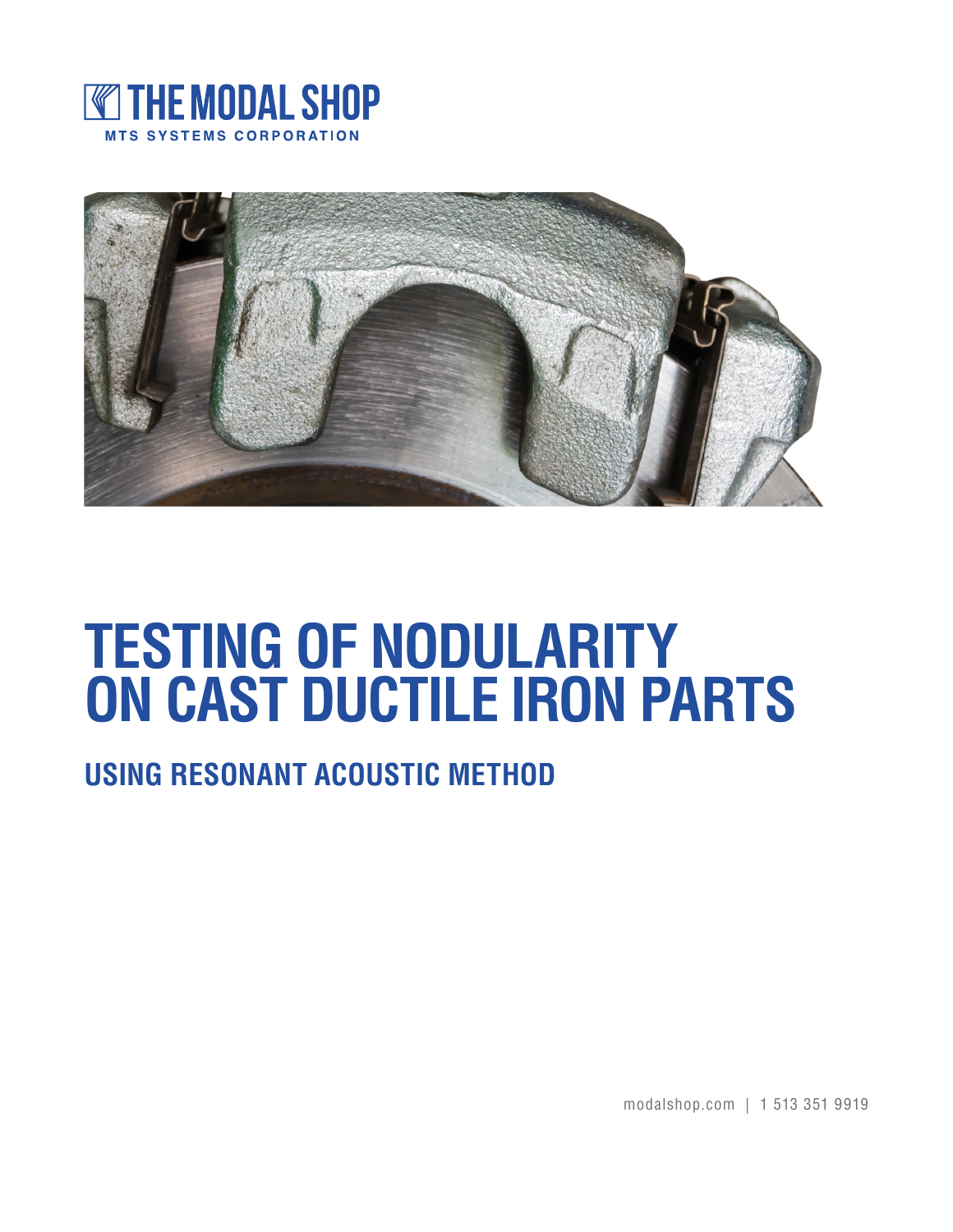



# **TESTING OF NODULARITY ON CAST DUCTILE IRON PARTS**

**USING RESONANT ACOUSTIC METHOD**

modalshop.com | 1 513 351 9919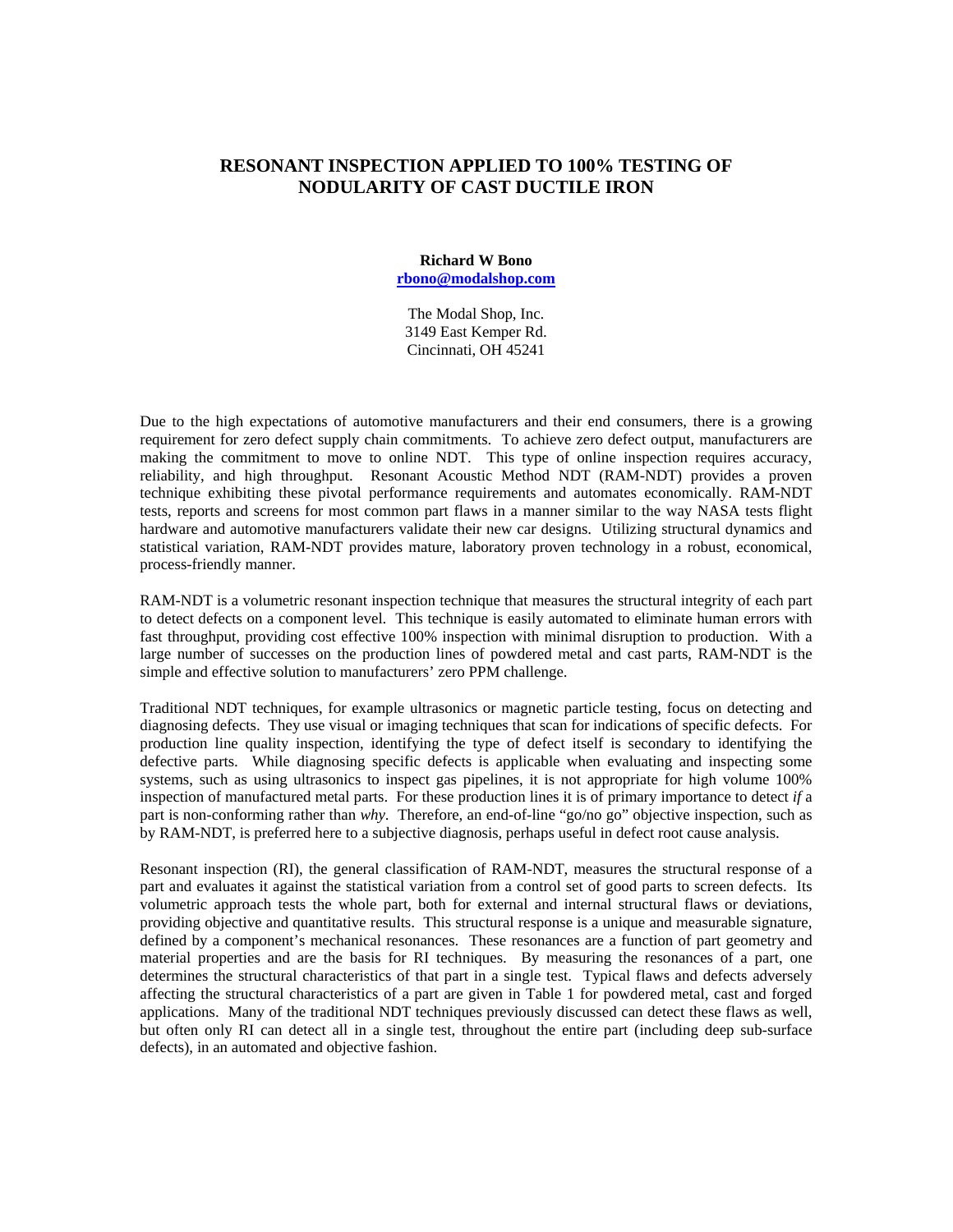# **RESONANT INSPECTION APPLIED TO 100% TESTING OF NODULARITY OF CAST DUCTILE IRON**

#### **Richard W Bono rbono@modalshop.com**

The Modal Shop, Inc. 3149 East Kemper Rd. Cincinnati, OH 45241

Due to the high expectations of automotive manufacturers and their end consumers, there is a growing requirement for zero defect supply chain commitments. To achieve zero defect output, manufacturers are making the commitment to move to online NDT. This type of online inspection requires accuracy, reliability, and high throughput. Resonant Acoustic Method NDT (RAM-NDT) provides a proven technique exhibiting these pivotal performance requirements and automates economically. RAM-NDT tests, reports and screens for most common part flaws in a manner similar to the way NASA tests flight hardware and automotive manufacturers validate their new car designs. Utilizing structural dynamics and statistical variation, RAM-NDT provides mature, laboratory proven technology in a robust, economical, process-friendly manner.

RAM-NDT is a volumetric resonant inspection technique that measures the structural integrity of each part to detect defects on a component level. This technique is easily automated to eliminate human errors with fast throughput, providing cost effective 100% inspection with minimal disruption to production. With a large number of successes on the production lines of powdered metal and cast parts, RAM-NDT is the simple and effective solution to manufacturers' zero PPM challenge.

Traditional NDT techniques, for example ultrasonics or magnetic particle testing, focus on detecting and diagnosing defects. They use visual or imaging techniques that scan for indications of specific defects. For production line quality inspection, identifying the type of defect itself is secondary to identifying the defective parts. While diagnosing specific defects is applicable when evaluating and inspecting some systems, such as using ultrasonics to inspect gas pipelines, it is not appropriate for high volume 100% inspection of manufactured metal parts. For these production lines it is of primary importance to detect *if* a part is non-conforming rather than *why*. Therefore, an end-of-line "go/no go" objective inspection, such as by RAM-NDT, is preferred here to a subjective diagnosis, perhaps useful in defect root cause analysis.

Resonant inspection (RI), the general classification of RAM-NDT, measures the structural response of a part and evaluates it against the statistical variation from a control set of good parts to screen defects. Its volumetric approach tests the whole part, both for external and internal structural flaws or deviations, providing objective and quantitative results. This structural response is a unique and measurable signature, defined by a component's mechanical resonances. These resonances are a function of part geometry and material properties and are the basis for RI techniques. By measuring the resonances of a part, one determines the structural characteristics of that part in a single test. Typical flaws and defects adversely affecting the structural characteristics of a part are given in Table 1 for powdered metal, cast and forged applications. Many of the traditional NDT techniques previously discussed can detect these flaws as well, but often only RI can detect all in a single test, throughout the entire part (including deep sub-surface defects), in an automated and objective fashion.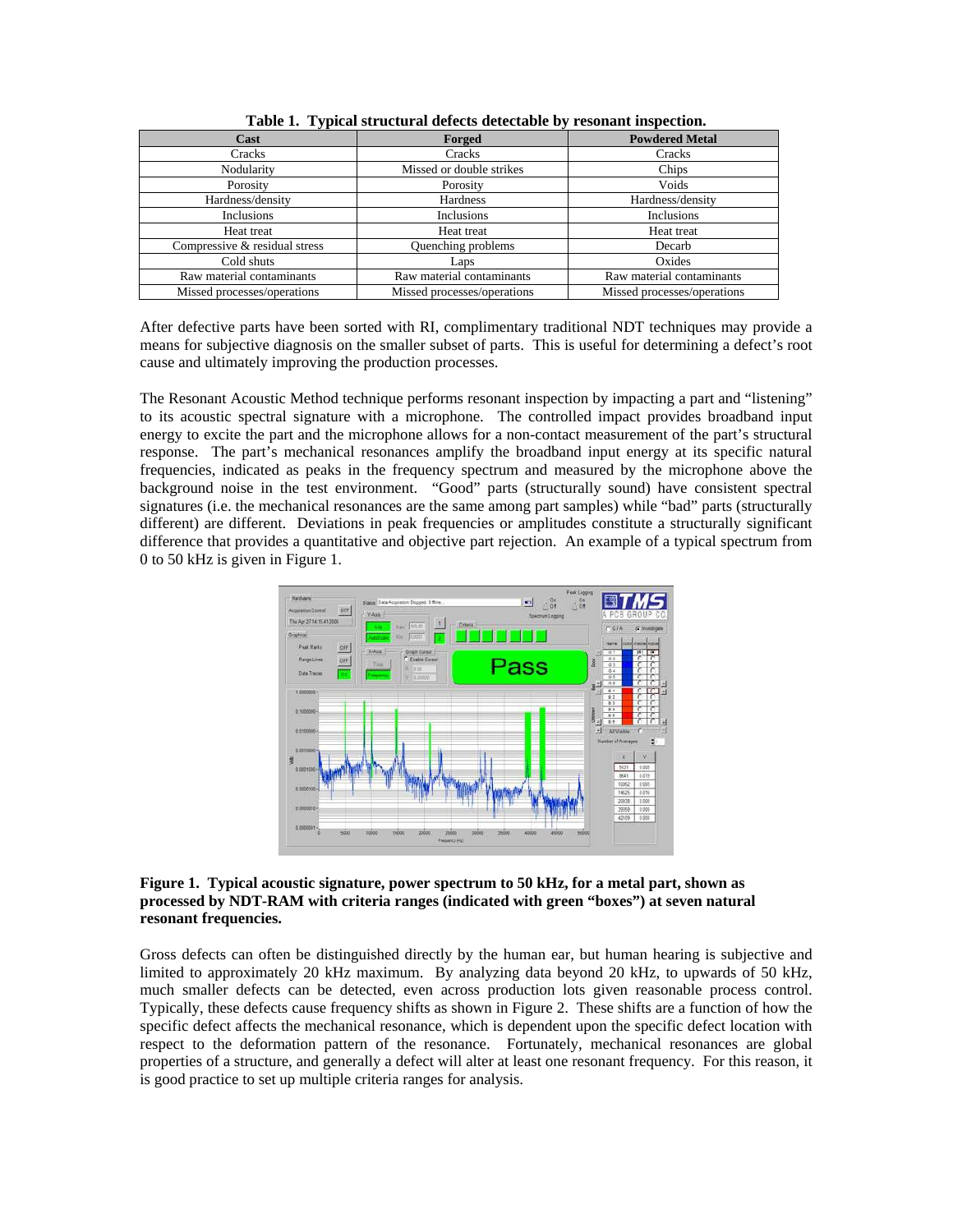| Cast                          | Forged                      | <b>Powdered Metal</b>       |
|-------------------------------|-----------------------------|-----------------------------|
| Cracks                        | Cracks                      | Cracks                      |
| Nodularity                    | Missed or double strikes    | Chips                       |
| Porosity                      | Porosity                    | Voids                       |
| Hardness/density              | Hardness                    | Hardness/density            |
| Inclusions                    | <b>Inclusions</b>           | Inclusions                  |
| Heat treat                    | Heat treat                  | Heat treat                  |
| Compressive & residual stress | Quenching problems          | Decarb                      |
| Cold shuts                    | Laps                        | Oxides                      |
| Raw material contaminants     | Raw material contaminants   | Raw material contaminants   |
| Missed processes/operations   | Missed processes/operations | Missed processes/operations |

**Table 1. Typical structural defects detectable by resonant inspection.** 

After defective parts have been sorted with RI, complimentary traditional NDT techniques may provide a means for subjective diagnosis on the smaller subset of parts. This is useful for determining a defect's root cause and ultimately improving the production processes.

The Resonant Acoustic Method technique performs resonant inspection by impacting a part and "listening" to its acoustic spectral signature with a microphone. The controlled impact provides broadband input energy to excite the part and the microphone allows for a non-contact measurement of the part's structural response. The part's mechanical resonances amplify the broadband input energy at its specific natural frequencies, indicated as peaks in the frequency spectrum and measured by the microphone above the background noise in the test environment. "Good" parts (structurally sound) have consistent spectral signatures (i.e. the mechanical resonances are the same among part samples) while "bad" parts (structurally different) are different. Deviations in peak frequencies or amplitudes constitute a structurally significant difference that provides a quantitative and objective part rejection. An example of a typical spectrum from 0 to 50 kHz is given in Figure 1.



### **Figure 1. Typical acoustic signature, power spectrum to 50 kHz, for a metal part, shown as processed by NDT-RAM with criteria ranges (indicated with green "boxes") at seven natural resonant frequencies.**

Gross defects can often be distinguished directly by the human ear, but human hearing is subjective and limited to approximately 20 kHz maximum. By analyzing data beyond 20 kHz, to upwards of 50 kHz, much smaller defects can be detected, even across production lots given reasonable process control. Typically, these defects cause frequency shifts as shown in Figure 2. These shifts are a function of how the specific defect affects the mechanical resonance, which is dependent upon the specific defect location with respect to the deformation pattern of the resonance. Fortunately, mechanical resonances are global properties of a structure, and generally a defect will alter at least one resonant frequency. For this reason, it is good practice to set up multiple criteria ranges for analysis.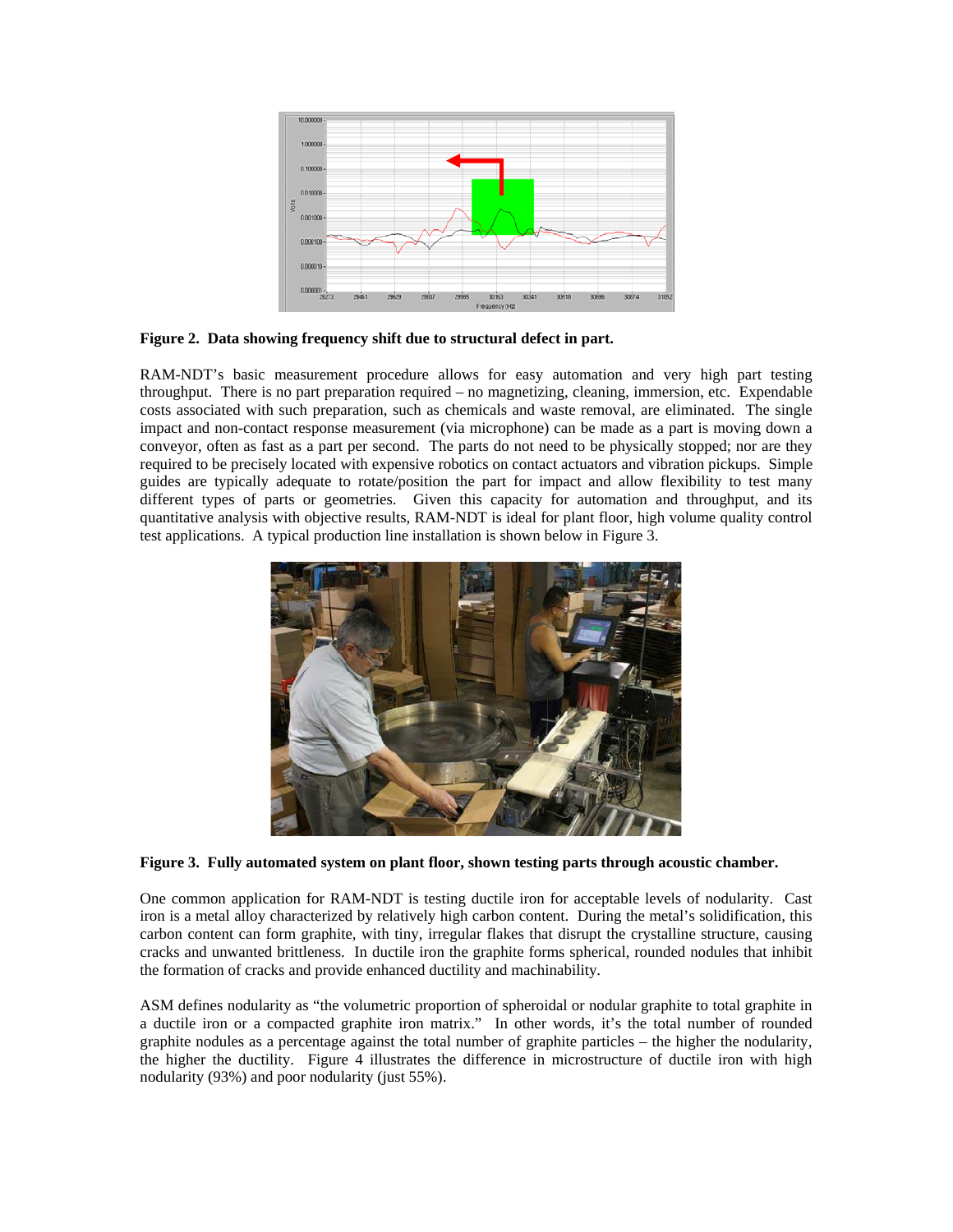

**Figure 2. Data showing frequency shift due to structural defect in part.** 

RAM-NDT's basic measurement procedure allows for easy automation and very high part testing throughput. There is no part preparation required – no magnetizing, cleaning, immersion, etc. Expendable costs associated with such preparation, such as chemicals and waste removal, are eliminated. The single impact and non-contact response measurement (via microphone) can be made as a part is moving down a conveyor, often as fast as a part per second. The parts do not need to be physically stopped; nor are they required to be precisely located with expensive robotics on contact actuators and vibration pickups. Simple guides are typically adequate to rotate/position the part for impact and allow flexibility to test many different types of parts or geometries. Given this capacity for automation and throughput, and its quantitative analysis with objective results, RAM-NDT is ideal for plant floor, high volume quality control test applications. A typical production line installation is shown below in Figure 3.



**Figure 3. Fully automated system on plant floor, shown testing parts through acoustic chamber.** 

One common application for RAM-NDT is testing ductile iron for acceptable levels of nodularity. Cast iron is a metal alloy characterized by relatively high carbon content. During the metal's solidification, this carbon content can form graphite, with tiny, irregular flakes that disrupt the crystalline structure, causing cracks and unwanted brittleness. In ductile iron the graphite forms spherical, rounded nodules that inhibit the formation of cracks and provide enhanced ductility and machinability.

ASM defines nodularity as "the volumetric proportion of spheroidal or nodular graphite to total graphite in a ductile iron or a compacted graphite iron matrix." In other words, it's the total number of rounded graphite nodules as a percentage against the total number of graphite particles – the higher the nodularity, the higher the ductility. Figure 4 illustrates the difference in microstructure of ductile iron with high nodularity (93%) and poor nodularity (just 55%).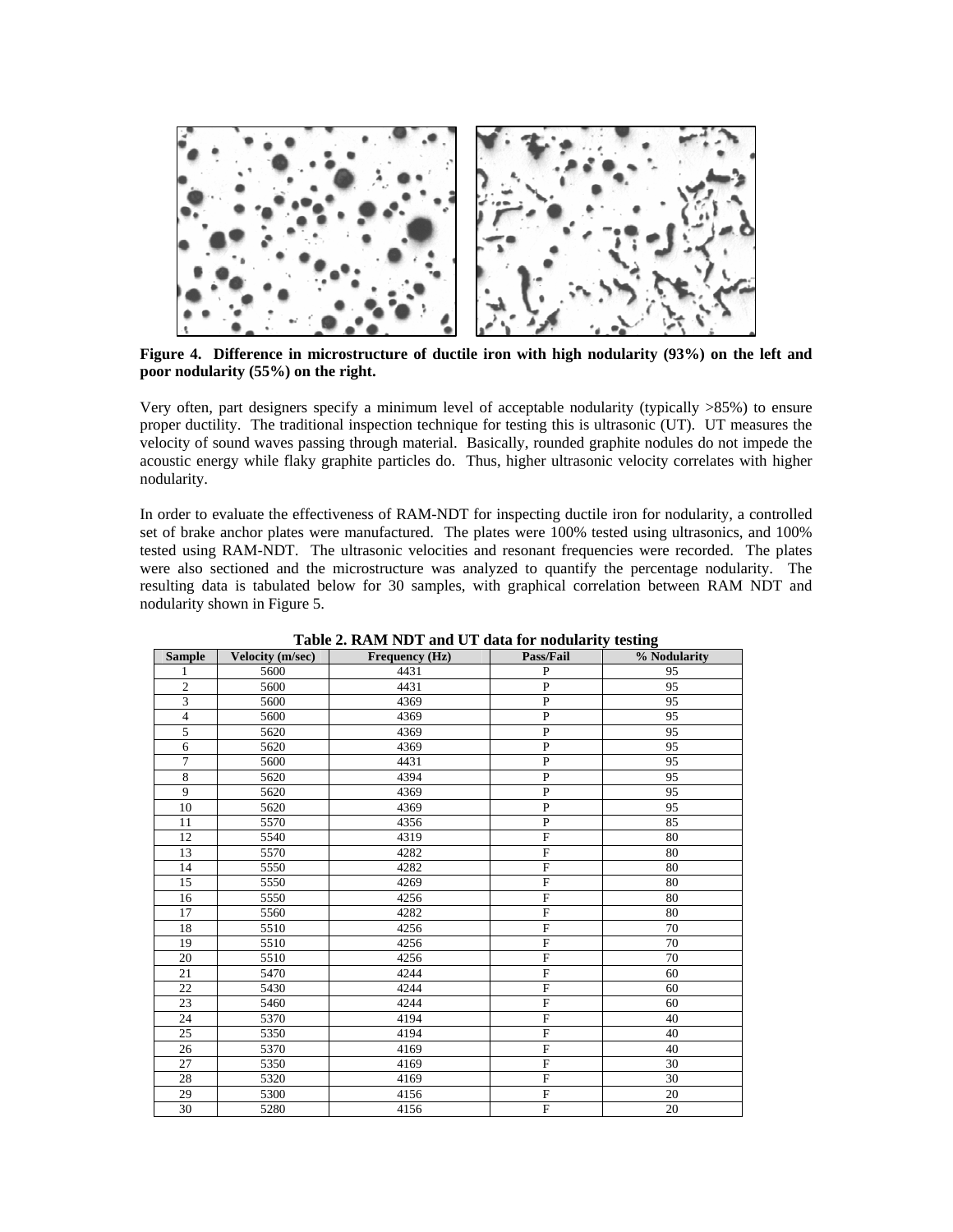

**Figure 4. Difference in microstructure of ductile iron with high nodularity (93%) on the left and poor nodularity (55%) on the right.** 

Very often, part designers specify a minimum level of acceptable nodularity (typically >85%) to ensure proper ductility. The traditional inspection technique for testing this is ultrasonic (UT). UT measures the velocity of sound waves passing through material. Basically, rounded graphite nodules do not impede the acoustic energy while flaky graphite particles do. Thus, higher ultrasonic velocity correlates with higher nodularity.

In order to evaluate the effectiveness of RAM-NDT for inspecting ductile iron for nodularity, a controlled set of brake anchor plates were manufactured. The plates were 100% tested using ultrasonics, and 100% tested using RAM-NDT. The ultrasonic velocities and resonant frequencies were recorded. The plates were also sectioned and the microstructure was analyzed to quantify the percentage nodularity. The resulting data is tabulated below for 30 samples, with graphical correlation between RAM NDT and nodularity shown in Figure 5.

| <b>Sample</b>           | Velocity (m/sec) | <b>Frequency</b> (Hz) | Pass/Fail               | % Nodularity |
|-------------------------|------------------|-----------------------|-------------------------|--------------|
| 1                       | 5600             | 4431                  | $\mathbf{P}$            | 95           |
| $\sqrt{2}$              | 5600             | 4431                  | ${\bf P}$               | 95           |
| $\overline{\mathbf{3}}$ | 5600             | 4369                  | $\mathbf{P}$            | 95           |
| $\overline{4}$          | 5600             | 4369                  | $\mathbf{P}$            | 95           |
| 5                       | 5620             | 4369                  | ${\bf P}$               | 95           |
| 6                       | 5620             | 4369                  | ${\bf P}$               | 95           |
| $\tau$                  | 5600             | 4431                  | $\mathbf{P}$            | 95           |
| $\overline{8}$          | 5620             | 4394                  | ${\bf P}$               | 95           |
| 9                       | 5620             | 4369                  | $\mathbf{P}$            | 95           |
| 10                      | 5620             | 4369                  | $\overline{P}$          | 95           |
| 11                      | 5570             | 4356                  | ${\bf P}$               | 85           |
| 12                      | 5540             | 4319                  | $\overline{\mathrm{F}}$ | 80           |
| 13                      | 5570             | 4282                  | $\overline{F}$          | 80           |
| 14                      | 5550             | 4282                  | $\overline{F}$          | 80           |
| 15                      | 5550             | 4269                  | $\overline{\mathrm{F}}$ | 80           |
| 16                      | 5550             | 4256                  | ${\bf F}$               | 80           |
| 17                      | 5560             | 4282                  | $\overline{\mathrm{F}}$ | 80           |
| 18                      | 5510             | 4256                  | $\overline{F}$          | 70           |
| 19                      | 5510             | 4256                  | $\overline{F}$          | 70           |
| 20                      | 5510             | 4256                  | $\mathbf F$             | 70           |
| 21                      | 5470             | 4244                  | ${\bf F}$               | 60           |
| 22                      | 5430             | 4244                  | ${\bf F}$               | 60           |
| 23                      | 5460             | 4244                  | $\overline{F}$          | 60           |
| 24                      | 5370             | 4194                  | $\overline{\mathrm{F}}$ | 40           |
| 25                      | 5350             | 4194                  | $\mathbf F$             | 40           |
| 26                      | 5370             | 4169                  | ${\bf F}$               | 40           |
| 27                      | 5350             | 4169                  | ${\bf F}$               | 30           |
| 28                      | 5320             | 4169                  | ${\bf F}$               | 30           |
| 29                      | 5300             | 4156                  | $\overline{F}$          | $20\,$       |
| 30                      | 5280             | 4156                  | $\mathbf F$             | 20           |

**Table 2. RAM NDT and UT data for nodularity testing**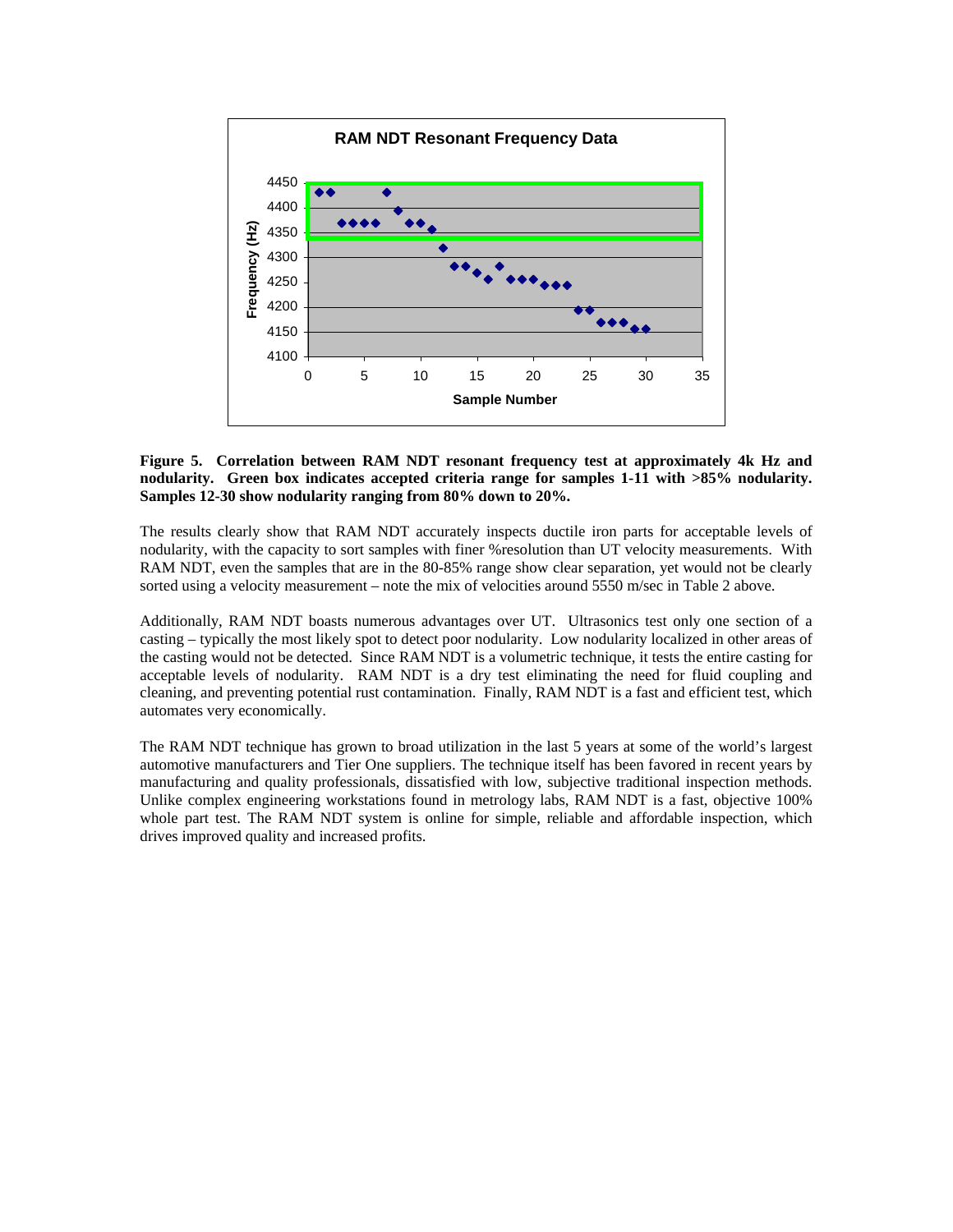

## **Figure 5. Correlation between RAM NDT resonant frequency test at approximately 4k Hz and nodularity. Green box indicates accepted criteria range for samples 1-11 with >85% nodularity. Samples 12-30 show nodularity ranging from 80% down to 20%.**

The results clearly show that RAM NDT accurately inspects ductile iron parts for acceptable levels of nodularity, with the capacity to sort samples with finer %resolution than UT velocity measurements. With RAM NDT, even the samples that are in the 80-85% range show clear separation, yet would not be clearly sorted using a velocity measurement – note the mix of velocities around 5550 m/sec in Table 2 above.

Additionally, RAM NDT boasts numerous advantages over UT. Ultrasonics test only one section of a casting – typically the most likely spot to detect poor nodularity. Low nodularity localized in other areas of the casting would not be detected. Since RAM NDT is a volumetric technique, it tests the entire casting for acceptable levels of nodularity. RAM NDT is a dry test eliminating the need for fluid coupling and cleaning, and preventing potential rust contamination. Finally, RAM NDT is a fast and efficient test, which automates very economically.

The RAM NDT technique has grown to broad utilization in the last 5 years at some of the world's largest automotive manufacturers and Tier One suppliers. The technique itself has been favored in recent years by manufacturing and quality professionals, dissatisfied with low, subjective traditional inspection methods. Unlike complex engineering workstations found in metrology labs, RAM NDT is a fast, objective 100% whole part test. The RAM NDT system is online for simple, reliable and affordable inspection, which drives improved quality and increased profits.